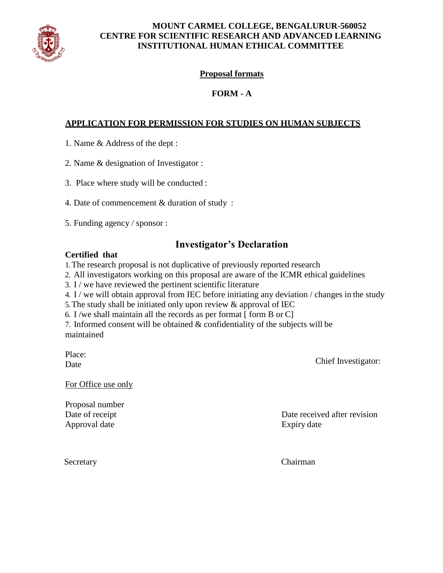

# **MOUNT CARMEL COLLEGE, BENGALURUR-560052 CENTRE FOR SCIENTIFIC RESEARCH AND ADVANCED LEARNING INSTITUTIONAL HUMAN ETHICAL COMMITTEE**

# **Proposal formats**

# **FORM - A**

# **APPLICATION FOR PERMISSION FOR STUDIES ON HUMAN SUBJECTS**

- 1. Name & Address of the dept :
- 2. Name & designation of Investigator :
- 3. Place where study will be conducted :
- 4. Date of commencement & duration of study :
- 5. Funding agency / sponsor :

# **Investigator's Declaration**

# **Certified that**

1.The research proposal is not duplicative of previously reported research

- 2. All investigators working on this proposal are aware of the ICMR ethical guidelines
- 3. I / we have reviewed the pertinent scientific literature
- 4. I / we will obtain approval from IEC before initiating any deviation / changes in the study
- 5.The study shall be initiated only upon review & approval of IEC
- 6. I/we shall maintain all the records as per format  $\lceil \text{ form } B \text{ or } C \rceil$

7. Informed consent will be obtained & confidentiality of the subjects will be maintained

Place: **Date** 

Chief Investigator:

For Office use only

Proposal number Approval date Expiry date

Date of receipt Date received after revision

Secretary Chairman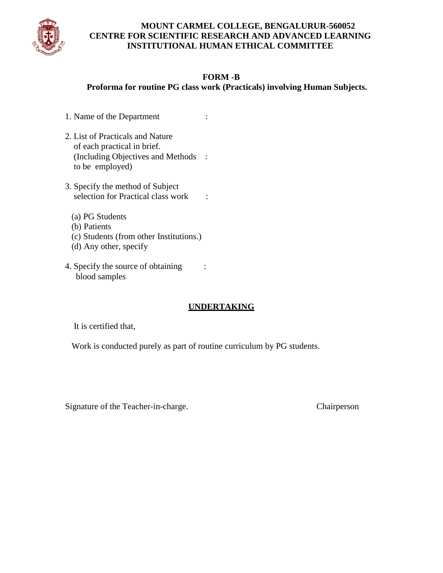

# **MOUNT CARMEL COLLEGE, BENGALURUR-560052 CENTRE FOR SCIENTIFIC RESEARCH AND ADVANCED LEARNING INSTITUTIONAL HUMAN ETHICAL COMMITTEE**

### **FORM -B**

 **Proforma for routine PG class work (Practicals) involving Human Subjects.**

- 1. Name of the Department :
- 2. List of Practicals and Nature of each practical in brief. (Including Objectives and Methods : to be employed)
- 3. Specify the method of Subject selection for Practical class work :
	- (a) PG Students
	- (b) Patients
	- (c) Students (from other Institutions.)
	- (d) Any other, specify
- 4. Specify the source of obtaining : blood samples

# **UNDERTAKING**

It is certified that,

Work is conducted purely as part of routine curriculum by PG students.

Signature of the Teacher-in-charge. Chairperson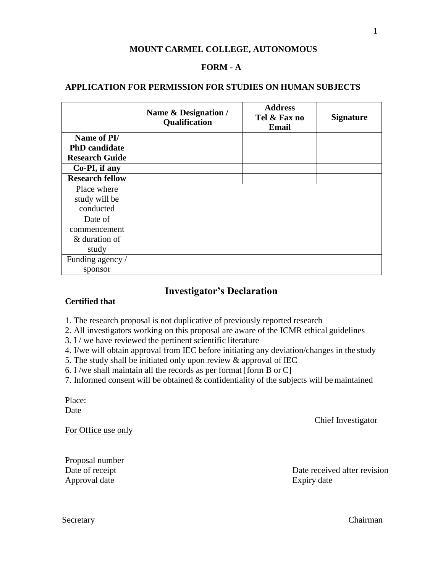### **MOUNT CARMEL COLLEGE, AUTONOMOUS**

#### **FORM - A**

#### **APPLICATION FOR PERMISSION FOR STUDIES ON HUMAN SUBJECTS**

|                        | Name & Designation /<br>Qualification | <b>Address</b><br>Tel & Fax no<br>Email | <b>Signature</b> |
|------------------------|---------------------------------------|-----------------------------------------|------------------|
| Name of PI/            |                                       |                                         |                  |
| <b>PhD</b> candidate   |                                       |                                         |                  |
| <b>Research Guide</b>  |                                       |                                         |                  |
| Co-PI, if any          |                                       |                                         |                  |
| <b>Research fellow</b> |                                       |                                         |                  |
| Place where            |                                       |                                         |                  |
| study will be          |                                       |                                         |                  |
| conducted              |                                       |                                         |                  |
| Date of                |                                       |                                         |                  |
| commencement           |                                       |                                         |                  |
| & duration of          |                                       |                                         |                  |
| study                  |                                       |                                         |                  |
| Funding agency /       |                                       |                                         |                  |
| sponsor                |                                       |                                         |                  |

# **Investigator's Declaration**

### **Certified that**

- 1. The research proposal is not duplicative of previously reported research
- 2. All investigators working on this proposal are aware of the ICMR ethical guidelines
- 3. I / we have reviewed the pertinent scientific literature
- 4. I/we will obtain approval from IEC before initiating any deviation/changes in the study
- 5. The study shall be initiated only upon review & approval of IEC
- 6. I /we shall maintain all the records as per format [form B or C]
- 7. Informed consent will be obtained  $&$  confidentiality of the subjects will be maintained

Place: Date

Chief Investigator

For Office use only

Proposal number Approval date Expiry date

Date of receipt Date received after revision

Secretary Chairman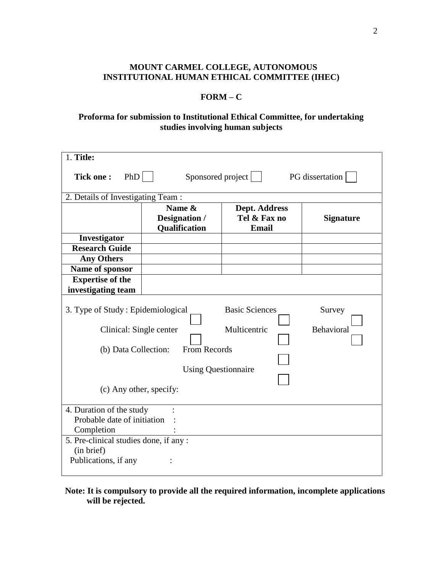## **MOUNT CARMEL COLLEGE, AUTONOMOUS INSTITUTIONAL HUMAN ETHICAL COMMITTEE (IHEC)**

### **FORM – C**

# **Proforma for submission to Institutional Ethical Committee, for undertaking studies involving human subjects**

| 1. Title:                                                                                                                                                                                                                      |               |               |                  |  |
|--------------------------------------------------------------------------------------------------------------------------------------------------------------------------------------------------------------------------------|---------------|---------------|------------------|--|
| PhD<br>Sponsored project<br><b>Tick one:</b><br>PG dissertation                                                                                                                                                                |               |               |                  |  |
| 2. Details of Investigating Team:                                                                                                                                                                                              |               |               |                  |  |
|                                                                                                                                                                                                                                | Name &        | Dept. Address |                  |  |
|                                                                                                                                                                                                                                | Designation / | Tel & Fax no  | <b>Signature</b> |  |
|                                                                                                                                                                                                                                | Qualification | <b>Email</b>  |                  |  |
| Investigator                                                                                                                                                                                                                   |               |               |                  |  |
| <b>Research Guide</b>                                                                                                                                                                                                          |               |               |                  |  |
| <b>Any Others</b>                                                                                                                                                                                                              |               |               |                  |  |
| Name of sponsor                                                                                                                                                                                                                |               |               |                  |  |
| <b>Expertise of the</b>                                                                                                                                                                                                        |               |               |                  |  |
| investigating team                                                                                                                                                                                                             |               |               |                  |  |
| <b>Basic Sciences</b><br>3. Type of Study: Epidemiological<br>Survey<br>Multicentric<br>Clinical: Single center<br>Behavioral<br>From Records<br>(b) Data Collection:<br><b>Using Questionnaire</b><br>(c) Any other, specify: |               |               |                  |  |
| 4. Duration of the study<br>Probable date of initiation<br>Completion<br>5. Pre-clinical studies done, if any :<br>(in brief)<br>Publications, if any                                                                          |               |               |                  |  |

## **Note: It is compulsory to provide all the required information, incomplete applications will be rejected.**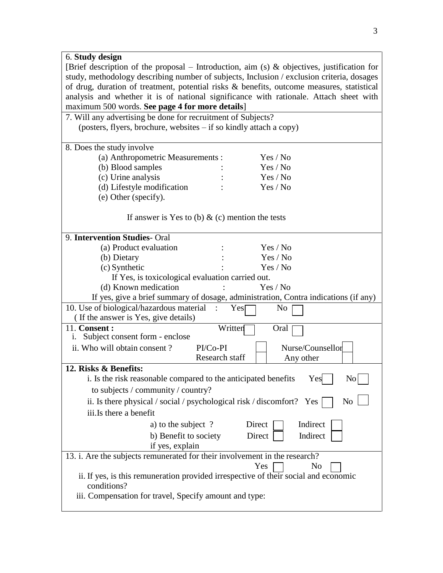| 6. Study design                                                                                    |  |  |  |  |  |
|----------------------------------------------------------------------------------------------------|--|--|--|--|--|
| [Brief description of the proposal – Introduction, aim (s) $\&$ objectives, justification for      |  |  |  |  |  |
| study, methodology describing number of subjects, Inclusion / exclusion criteria, dosages          |  |  |  |  |  |
| of drug, duration of treatment, potential risks & benefits, outcome measures, statistical          |  |  |  |  |  |
| analysis and whether it is of national significance with rationale. Attach sheet with              |  |  |  |  |  |
| maximum 500 words. See page 4 for more details]                                                    |  |  |  |  |  |
| 7. Will any advertising be done for recruitment of Subjects?                                       |  |  |  |  |  |
| (posters, flyers, brochure, websites – if so kindly attach a copy)                                 |  |  |  |  |  |
|                                                                                                    |  |  |  |  |  |
| 8. Does the study involve                                                                          |  |  |  |  |  |
| (a) Anthropometric Measurements :<br>Yes / No                                                      |  |  |  |  |  |
| (b) Blood samples<br>Yes / No                                                                      |  |  |  |  |  |
| (c) Urine analysis<br>Yes / No                                                                     |  |  |  |  |  |
| (d) Lifestyle modification<br>Yes / No                                                             |  |  |  |  |  |
| (e) Other (specify).                                                                               |  |  |  |  |  |
|                                                                                                    |  |  |  |  |  |
| If answer is Yes to (b) $\&$ (c) mention the tests                                                 |  |  |  |  |  |
|                                                                                                    |  |  |  |  |  |
| 9. Intervention Studies- Oral                                                                      |  |  |  |  |  |
| (a) Product evaluation<br>Yes / No                                                                 |  |  |  |  |  |
| (b) Dietary<br>Yes / No                                                                            |  |  |  |  |  |
| (c) Synthetic<br>Yes / No                                                                          |  |  |  |  |  |
| If Yes, is toxicological evaluation carried out.                                                   |  |  |  |  |  |
| Yes / No<br>(d) Known medication                                                                   |  |  |  |  |  |
| If yes, give a brief summary of dosage, administration, Contra indications (if any)                |  |  |  |  |  |
| 10. Use of biological/hazardous material<br>Yes<br>N <sub>0</sub>                                  |  |  |  |  |  |
| (If the answer is Yes, give details)                                                               |  |  |  |  |  |
| 11. Consent:<br>Written<br>Oral                                                                    |  |  |  |  |  |
| Subject consent form - enclose<br>1.                                                               |  |  |  |  |  |
| Nurse/Counsellor<br>ii. Who will obtain consent?<br>PI/Co-PI                                       |  |  |  |  |  |
| Research staff<br>Any other                                                                        |  |  |  |  |  |
| 12. Risks & Benefits:                                                                              |  |  |  |  |  |
| i. Is the risk reasonable compared to the anticipated benefits $\Gamma$ Yes $\Box$<br>$\rm No$     |  |  |  |  |  |
| to subjects / community / country?                                                                 |  |  |  |  |  |
| N <sub>o</sub><br>ii. Is there physical / social / psychological risk / discomfort? Yes            |  |  |  |  |  |
| iii.Is there a benefit                                                                             |  |  |  |  |  |
| a) to the subject ?<br>Direct<br>Indirect                                                          |  |  |  |  |  |
|                                                                                                    |  |  |  |  |  |
| b) Benefit to society<br>Direct<br>Indirect                                                        |  |  |  |  |  |
| if yes, explain                                                                                    |  |  |  |  |  |
| 13. i. Are the subjects remunerated for their involvement in the research?                         |  |  |  |  |  |
| Yes<br>No                                                                                          |  |  |  |  |  |
| ii. If yes, is this remuneration provided irrespective of their social and economic<br>conditions? |  |  |  |  |  |
| iii. Compensation for travel, Specify amount and type:                                             |  |  |  |  |  |
|                                                                                                    |  |  |  |  |  |
|                                                                                                    |  |  |  |  |  |